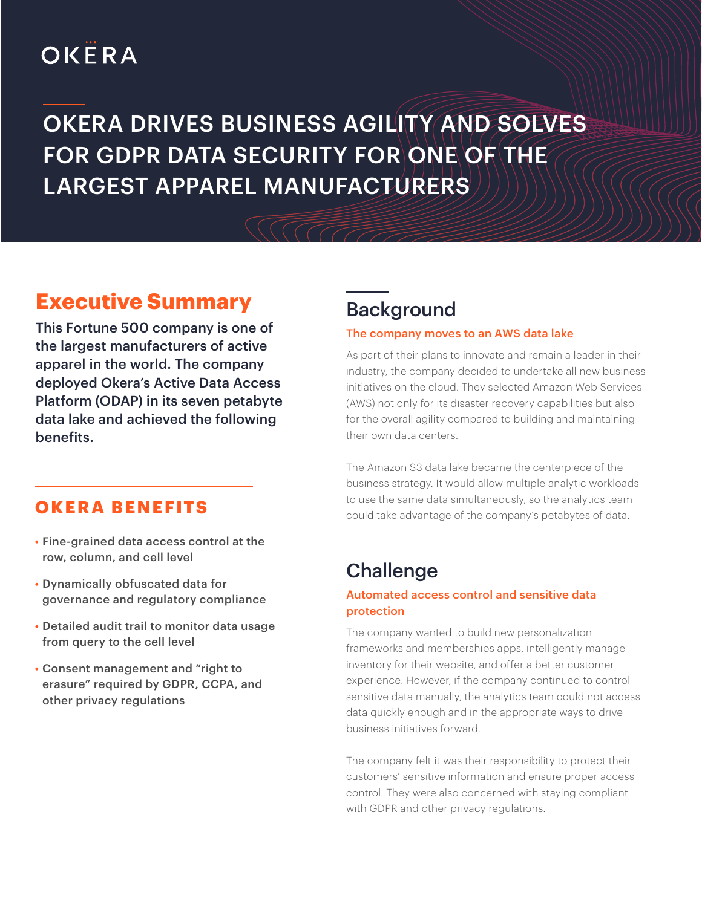# OKËRA

# OKERA DRIVES BUSINESS AGILITY AND SOLVES FOR GDPR DATA SECURITY FOR ONE OF THE LARGEST APPAREL MANUFACTURERS

## **Executive Summary**

This Fortune 500 company is one of the largest manufacturers of active apparel in the world. The company deployed Okera's Active Data Access Platform (ODAP) in its seven petabyte data lake and achieved the following benefits.

### **OKERA BENEFITS**

- Fine-grained data access control at the row, column, and cell level
- Dynamically obfuscated data for governance and regulatory compliance
- Detailed audit trail to monitor data usage from query to the cell level
- Consent management and "right to erasure" required by GDPR, CCPA, and other privacy regulations

## **Background**

#### The company moves to an AWS data lake

As part of their plans to innovate and remain a leader in their industry, the company decided to undertake all new business initiatives on the cloud. They selected Amazon Web Services (AWS) not only for its disaster recovery capabilities but also for the overall agility compared to building and maintaining their own data centers.

The Amazon S3 data lake became the centerpiece of the business strategy. It would allow multiple analytic workloads to use the same data simultaneously, so the analytics team could take advantage of the company's petabytes of data.

## **Challenge**

#### Automated access control and sensitive data protection

The company wanted to build new personalization frameworks and memberships apps, intelligently manage inventory for their website, and offer a better customer experience. However, if the company continued to control sensitive data manually, the analytics team could not access data quickly enough and in the appropriate ways to drive business initiatives forward.

The company felt it was their responsibility to protect their customers' sensitive information and ensure proper access control. They were also concerned with staying compliant with GDPR and other privacy regulations.